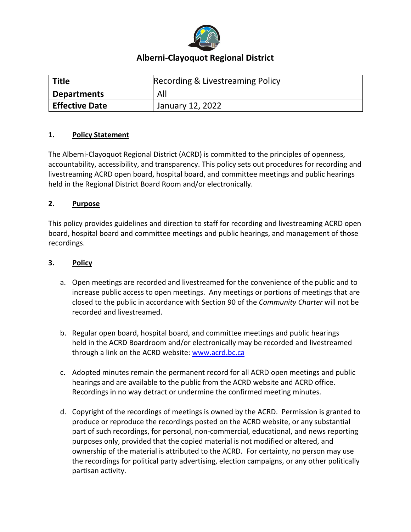

# **Alberni-Clayoquot Regional District**

| <b>Title</b>          | Recording & Livestreaming Policy |
|-----------------------|----------------------------------|
| <b>Departments</b>    | All                              |
| <b>Effective Date</b> | January 12, 2022                 |

# **1. Policy Statement**

The Alberni-Clayoquot Regional District (ACRD) is committed to the principles of openness, accountability, accessibility, and transparency. This policy sets out procedures for recording and livestreaming ACRD open board, hospital board, and committee meetings and public hearings held in the Regional District Board Room and/or electronically.

#### **2. Purpose**

This policy provides guidelines and direction to staff for recording and livestreaming ACRD open board, hospital board and committee meetings and public hearings, and management of those recordings.

## **3. Policy**

- a. Open meetings are recorded and livestreamed for the convenience of the public and to increase public access to open meetings. Any meetings or portions of meetings that are closed to the public in accordance with Section 90 of the *Community Charter* will not be recorded and livestreamed.
- b. Regular open board, hospital board, and committee meetings and public hearings held in the ACRD Boardroom and/or electronically may be recorded and livestreamed through a link on the ACRD website: [www.acrd.bc.ca](http://www.acrd.bc.ca/)
- c. Adopted minutes remain the permanent record for all ACRD open meetings and public hearings and are available to the public from the ACRD website and ACRD office. Recordings in no way detract or undermine the confirmed meeting minutes.
- d. Copyright of the recordings of meetings is owned by the ACRD. Permission is granted to produce or reproduce the recordings posted on the ACRD website, or any substantial part of such recordings, for personal, non-commercial, educational, and news reporting purposes only, provided that the copied material is not modified or altered, and ownership of the material is attributed to the ACRD. For certainty, no person may use the recordings for political party advertising, election campaigns, or any other politically partisan activity.